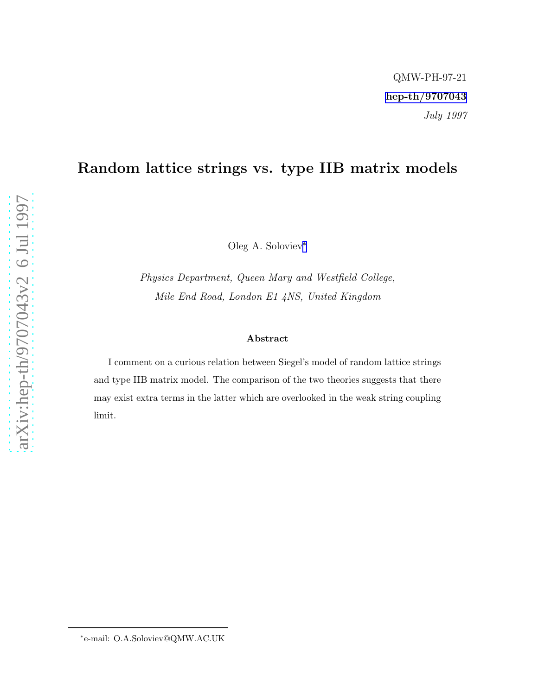## Random lattice strings vs. type IIB matrix models

Oleg A. Soloviev ∗

Physics Department, Queen Mary and Westfield College, Mile End Road, London E1 4NS, United Kingdom

## Abstract

I comment on a curious relation between Siegel's model of random lattice strings and type IIB matrix model. The comparison of the two theories suggests that there may exist extra terms in the latter which are overlooked in the weak string coupling limit.

<sup>∗</sup> e-mail: O.A.Soloviev@QMW.AC.UK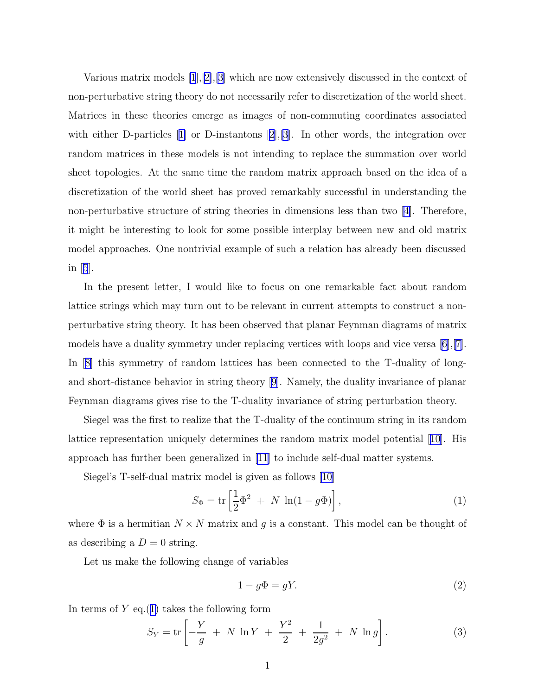<span id="page-1-0"></span>Various matrix models [\[1](#page-2-0)],[[2\]](#page-3-0),[\[3](#page-3-0)] which are now extensively discussed in the context of non-perturbative string theory do not necessarily refer to discretization of the world sheet. Matrices in these theories emerge as images of non-commuting coordinates associated witheither D-particles [[1\]](#page-2-0) or D-instantons [[2](#page-3-0)], [\[3](#page-3-0)]. In other words, the integration over random matrices in these models is not intending to replace the summation over world sheet topologies. At the same time the random matrix approach based on the idea of a discretization of the world sheet has proved remarkably successful in understanding the non-perturbative structure of string theories in dimensions less than two [\[4\]](#page-3-0). Therefore, it might be interesting to look for some possible interplay between new and old matrix model approaches. One nontrivial example of such a relation has already been discussed in[[5](#page-3-0)].

In the present letter, I would like to focus on one remarkable fact about random lattice strings which may turn out to be relevant in current attempts to construct a nonperturbative string theory. It has been observed that planar Feynman diagrams of matrix models have a duality symmetry under replacing vertices with loops and vice versa  $[6], [7]$  $[6], [7]$ . In[[8\]](#page-3-0) this symmetry of random lattices has been connected to the T-duality of longand short-distance behavior in string theory[[9\]](#page-3-0). Namely, the duality invariance of planar Feynman diagrams gives rise to the T-duality invariance of string perturbation theory.

Siegel was the first to realize that the T-duality of the continuum string in its random lattice representation uniquely determines the random matrix model potential[[10](#page-3-0)]. His approach has further been generalized in [\[11](#page-3-0)] to include self-dual matter systems.

Siegel's T-self-dual matrix model is given as follows [\[10](#page-3-0)]

$$
S_{\Phi} = \text{tr}\left[\frac{1}{2}\Phi^2 + N \ln(1 - g\Phi)\right],\tag{1}
$$

where  $\Phi$  is a hermitian  $N \times N$  matrix and g is a constant. This model can be thought of as describing a  $D = 0$  string.

Let us make the following change of variables

$$
1 - g\Phi = gY.\t\t(2)
$$

In terms of  $Y$  eq.(1) takes the following form

$$
S_Y = \text{tr}\left[ -\frac{Y}{g} + N \ln Y + \frac{Y^2}{2} + \frac{1}{2g^2} + N \ln g \right].
$$
 (3)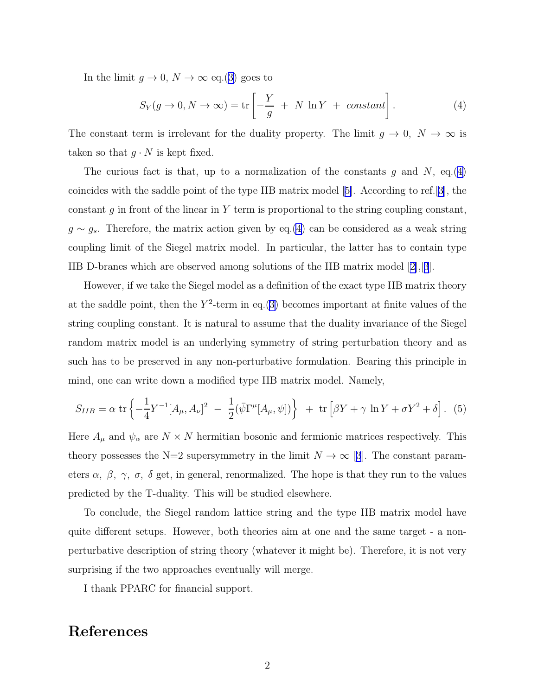<span id="page-2-0"></span>In the limit  $g \to 0$ ,  $N \to \infty$  eq.([3\)](#page-1-0) goes to

$$
S_Y(g \to 0, N \to \infty) = \text{tr}\left[-\frac{Y}{g} + N \ln Y + constant\right].
$$
 (4)

The constant term is irrelevant for the duality property. The limit  $g \to 0$ ,  $N \to \infty$  is taken so that  $g \cdot N$  is kept fixed.

The curious fact is that, up to a normalization of the constants g and N, eq.(4) coincides with the saddle point of the type IIB matrix model[[5\]](#page-3-0). According to ref.[[3\]](#page-3-0), the constant  $g$  in front of the linear in Y term is proportional to the string coupling constant,  $g \sim g_s$ . Therefore, the matrix action given by eq.(4) can be considered as a weak string coupling limit of the Siegel matrix model. In particular, the latter has to contain type IIB D-branes which are observed among solutions of the IIB matrix model[[2\]](#page-3-0),[[3](#page-3-0)].

However, if we take the Siegel model as a definition of the exact type IIB matrix theory at the saddle point, then the  $Y^2$ -term in eq.([3\)](#page-1-0) becomes important at finite values of the string coupling constant. It is natural to assume that the duality invariance of the Siegel random matrix model is an underlying symmetry of string perturbation theory and as such has to be preserved in any non-perturbative formulation. Bearing this principle in mind, one can write down a modified type IIB matrix model. Namely,

$$
S_{IIB} = \alpha \, \text{tr} \left\{ -\frac{1}{4} Y^{-1} [A_{\mu}, A_{\nu}]^2 - \frac{1}{2} (\bar{\psi} \Gamma^{\mu} [A_{\mu}, \psi]) \right\} + \text{tr} \left[ \beta Y + \gamma \, \ln Y + \sigma Y^2 + \delta \right]. \tag{5}
$$

Here  $A_{\mu}$  and  $\psi_{\alpha}$  are  $N \times N$  hermitian bosonic and fermionic matrices respectively. This theory possesses the N=2 supersymmetry in the limit  $N \to \infty$  [[3](#page-3-0)]. The constant parameters  $\alpha$ ,  $\beta$ ,  $\gamma$ ,  $\sigma$ ,  $\delta$  get, in general, renormalized. The hope is that they run to the values predicted by the T-duality. This will be studied elsewhere.

To conclude, the Siegel random lattice string and the type IIB matrix model have quite different setups. However, both theories aim at one and the same target - a nonperturbative description of string theory (whatever it might be). Therefore, it is not very surprising if the two approaches eventually will merge.

I thank PPARC for financial support.

## References